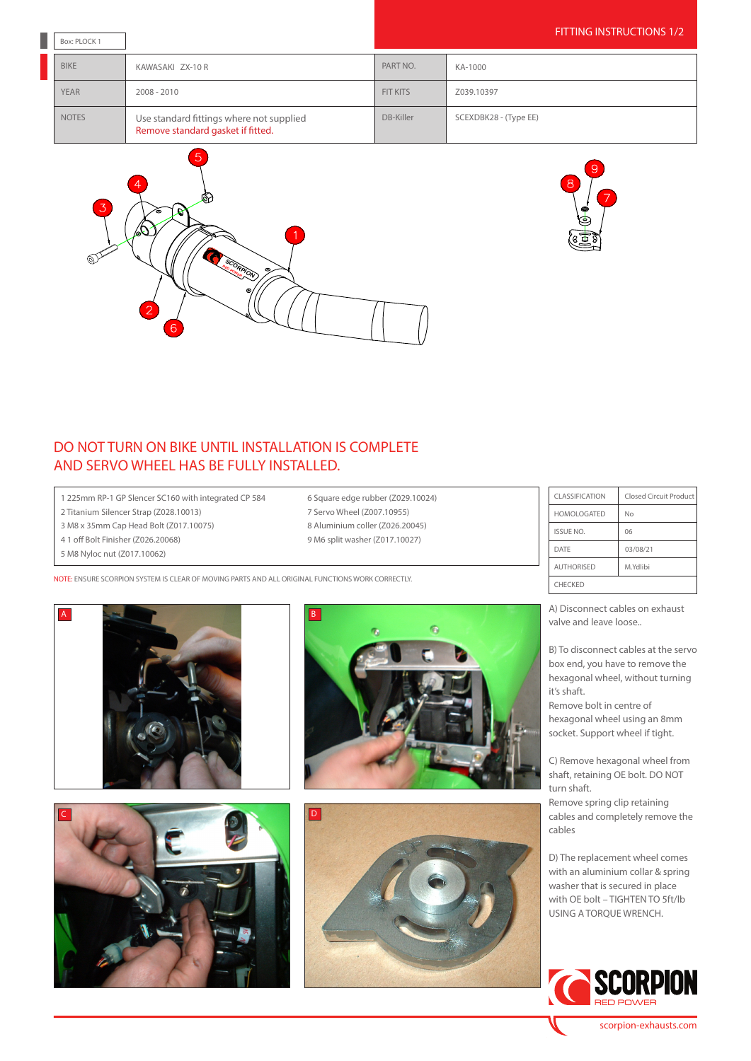| Box: PLOCK 1 |                                                                               | FITTING INSTRUCTIONS 1/2 |                       |
|--------------|-------------------------------------------------------------------------------|--------------------------|-----------------------|
| <b>BIKE</b>  | KAWASAKI ZX-10 R                                                              | PART NO.                 | KA-1000               |
| <b>YEAR</b>  | $2008 - 2010$                                                                 | <b>FIT KITS</b>          | Z039.10397            |
| <b>NOTES</b> | Use standard fittings where not supplied<br>Remove standard gasket if fitted. | DB-Killer                | SCEXDBK28 - (Type EE) |

6 Square edge rubber (Z029.10024) 7 Servo Wheel (Z007.10955) 8 Aluminium coller (Z026.20045) 9 M6 split washer (Z017.10027)





## DO NOT TURN ON BIKE UNTIL INSTALLATION IS COMPLETE AND SERVO WHEEL HAS BE FULLY INSTALLED.

1 225mm RP-1 GP Slencer SC160 with integrated CP 584

- 2 Titanium Silencer Strap (Z028.10013)
- 3 M8 x 35mm Cap Head Bolt (Z017.10075)
- 4 1 off Bolt Finisher (Z026.20068)
- 5 M8 Nyloc nut (Z017.10062)

NOTE: ENSURE SCORPION SYSTEM IS CLEAR OF MOVING PARTS AND ALL ORIGINAL FUNCTIONS WORK CORRECTLY.









| CLASSIFICATION     | Closed Circuit Product |  |  |
|--------------------|------------------------|--|--|
| <b>HOMOLOGATED</b> | No                     |  |  |
| <b>ISSUE NO.</b>   | 06                     |  |  |
| DATE               | 03/08/21               |  |  |
| <b>AUTHORISED</b>  | M.Ydlibi               |  |  |
| <b>CHECKED</b>     |                        |  |  |

A) Disconnect cables on exhaust valve and leave loose..

B) To disconnect cables at the servo box end, you have to remove the hexagonal wheel, without turning it's shaft.

Remove bolt in centre of hexagonal wheel using an 8mm socket. Support wheel if tight.

C) Remove hexagonal wheel from shaft, retaining OE bolt. DO NOT turn shaft.

Remove spring clip retaining cables and completely remove the cables

D) The replacement wheel comes with an aluminium collar & spring washer that is secured in place with OE bolt – TIGHTEN TO 5ft/lb USING A TORQUE WRENCH.



scorpion-exhausts.com